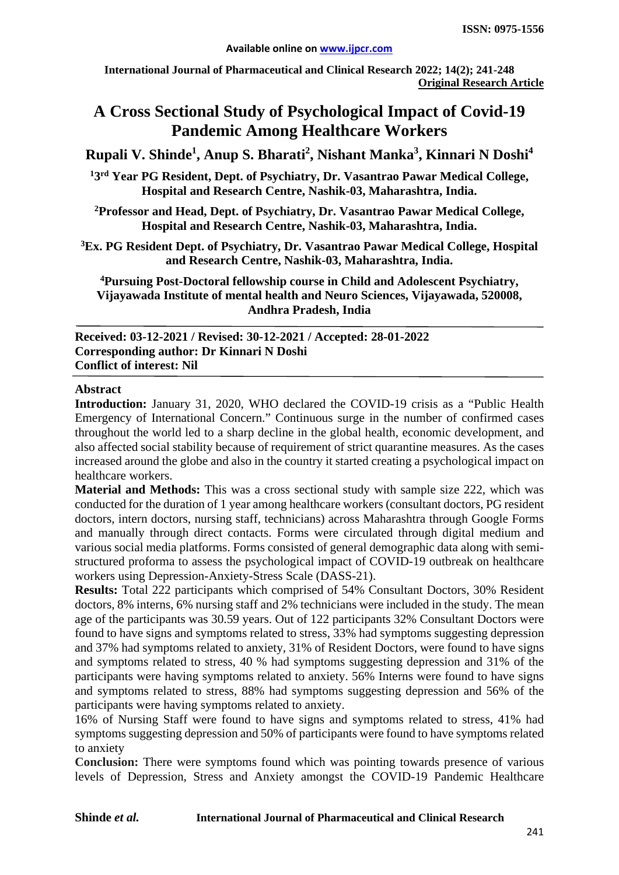**International Journal of Pharmaceutical and Clinical Research 2022; 14(2); 241-248 Original Research Article**

# **A Cross Sectional Study of Psychological Impact of Covid-19 Pandemic Among Healthcare Workers**

 $\mathbf{R}$ upali V. Shinde<sup>1</sup>, Anup S. Bharati<sup>2</sup>, Nishant Manka<sup>3</sup>, Kinnari N Doshi<sup>4</sup>

**1 3rd Year PG Resident, Dept. of Psychiatry, Dr. Vasantrao Pawar Medical College, Hospital and Research Centre, Nashik-03, Maharashtra, India.**

**2 Professor and Head, Dept. of Psychiatry, Dr. Vasantrao Pawar Medical College, Hospital and Research Centre, Nashik-03, Maharashtra, India.**

**3 Ex. PG Resident Dept. of Psychiatry, Dr. Vasantrao Pawar Medical College, Hospital and Research Centre, Nashik-03, Maharashtra, India.**

**4Pursuing Post-Doctoral fellowship course in Child and Adolescent Psychiatry, Vijayawada Institute of mental health and Neuro Sciences, Vijayawada, 520008, Andhra Pradesh, India**

**Received: 03-12-2021 / Revised: 30-12-2021 / Accepted: 28-01-2022 Corresponding author: Dr Kinnari N Doshi Conflict of interest: Nil**

#### **Abstract**

**Introduction:** January 31, 2020, WHO declared the COVID-19 crisis as a "Public Health Emergency of International Concern." Continuous surge in the number of confirmed cases throughout the world led to a sharp decline in the global health, economic development, and also affected social stability because of requirement of strict quarantine measures. As the cases increased around the globe and also in the country it started creating a psychological impact on healthcare workers.

**Material and Methods:** This was a cross sectional study with sample size 222, which was conducted for the duration of 1 year among healthcare workers (consultant doctors, PG resident doctors, intern doctors, nursing staff, technicians) across Maharashtra through Google Forms and manually through direct contacts. Forms were circulated through digital medium and various social media platforms. Forms consisted of general demographic data along with semistructured proforma to assess the psychological impact of COVID-19 outbreak on healthcare workers using Depression-Anxiety-Stress Scale (DASS-21).

**Results:** Total 222 participants which comprised of 54% Consultant Doctors, 30% Resident doctors, 8% interns, 6% nursing staff and 2% technicians were included in the study. The mean age of the participants was 30.59 years. Out of 122 participants 32% Consultant Doctors were found to have signs and symptoms related to stress, 33% had symptoms suggesting depression and 37% had symptoms related to anxiety, 31% of Resident Doctors, were found to have signs and symptoms related to stress, 40 % had symptoms suggesting depression and 31% of the participants were having symptoms related to anxiety. 56% Interns were found to have signs and symptoms related to stress, 88% had symptoms suggesting depression and 56% of the participants were having symptoms related to anxiety.

16% of Nursing Staff were found to have signs and symptoms related to stress, 41% had symptoms suggesting depression and 50% of participants were found to have symptoms related to anxiety

**Conclusion:** There were symptoms found which was pointing towards presence of various levels of Depression, Stress and Anxiety amongst the COVID-19 Pandemic Healthcare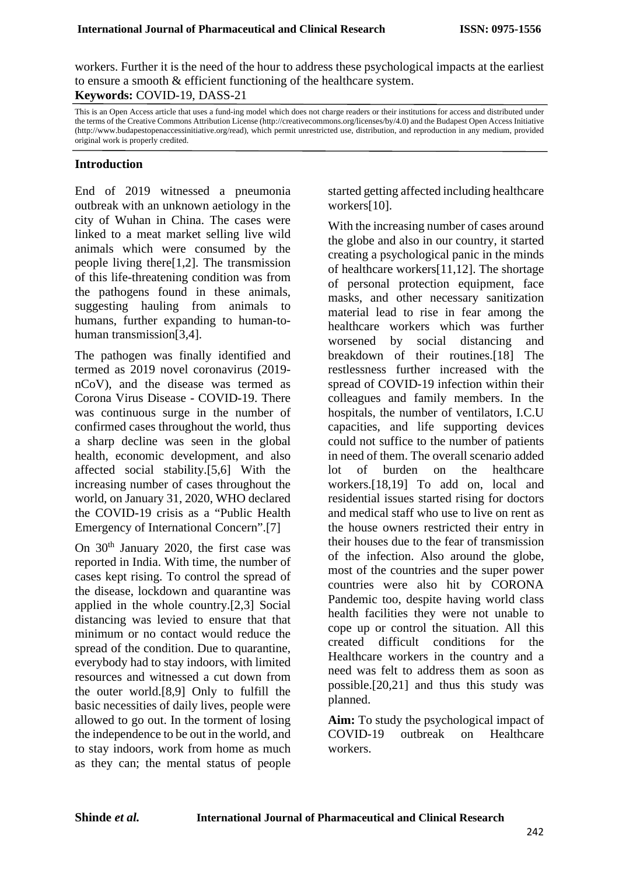workers. Further it is the need of the hour to address these psychological impacts at the earliest to ensure a smooth & efficient functioning of the healthcare system. **Keywords:** COVID-19, DASS-21

This is an Open Access article that uses a fund-ing model which does not charge readers or their institutions for access and distributed under the terms of the Creative Commons Attribution License (http://creativecommons.org/licenses/by/4.0) and the Budapest Open Access Initiative (http://www.budapestopenaccessinitiative.org/read), which permit unrestricted use, distribution, and reproduction in any medium, provided original work is properly credited.

#### **Introduction**

End of 2019 witnessed a pneumonia outbreak with an unknown aetiology in the city of Wuhan in China. The cases were linked to a meat market selling live wild animals which were consumed by the people living there[1,2]. The transmission of this life-threatening condition was from the pathogens found in these animals, suggesting hauling from animals to humans, further expanding to human-tohuman transmission[3,4].

The pathogen was finally identified and termed as 2019 novel coronavirus (2019 nCoV), and the disease was termed as Corona Virus Disease - COVID-19. There was continuous surge in the number of confirmed cases throughout the world, thus a sharp decline was seen in the global health, economic development, and also affected social stability.[5,6] With the increasing number of cases throughout the world, on January 31, 2020, WHO declared the COVID-19 crisis as a "Public Health Emergency of International Concern".[7]

On  $30<sup>th</sup>$  January 2020, the first case was reported in India. With time, the number of cases kept rising. To control the spread of the disease, lockdown and quarantine was applied in the whole country.[2,3] Social distancing was levied to ensure that that minimum or no contact would reduce the spread of the condition. Due to quarantine, everybody had to stay indoors, with limited resources and witnessed a cut down from the outer world.[8,9] Only to fulfill the basic necessities of daily lives, people were allowed to go out. In the torment of losing the independence to be out in the world, and to stay indoors, work from home as much as they can; the mental status of people

started getting affected including healthcare workers[10].

With the increasing number of cases around the globe and also in our country, it started creating a psychological panic in the minds of healthcare workers[11,12]. The shortage of personal protection equipment, face masks, and other necessary sanitization material lead to rise in fear among the healthcare workers which was further worsened by social distancing and breakdown of their routines.[18] The restlessness further increased with the spread of COVID-19 infection within their colleagues and family members. In the hospitals, the number of ventilators, I.C.U capacities, and life supporting devices could not suffice to the number of patients in need of them. The overall scenario added lot of burden on the healthcare workers.[18,19] To add on, local and residential issues started rising for doctors and medical staff who use to live on rent as the house owners restricted their entry in their houses due to the fear of transmission of the infection. Also around the globe, most of the countries and the super power countries were also hit by CORONA Pandemic too, despite having world class health facilities they were not unable to cope up or control the situation. All this created difficult conditions for the Healthcare workers in the country and a need was felt to address them as soon as possible.[20,21] and thus this study was planned.

**Aim:** To study the psychological impact of COVID-19 outbreak on Healthcare workers.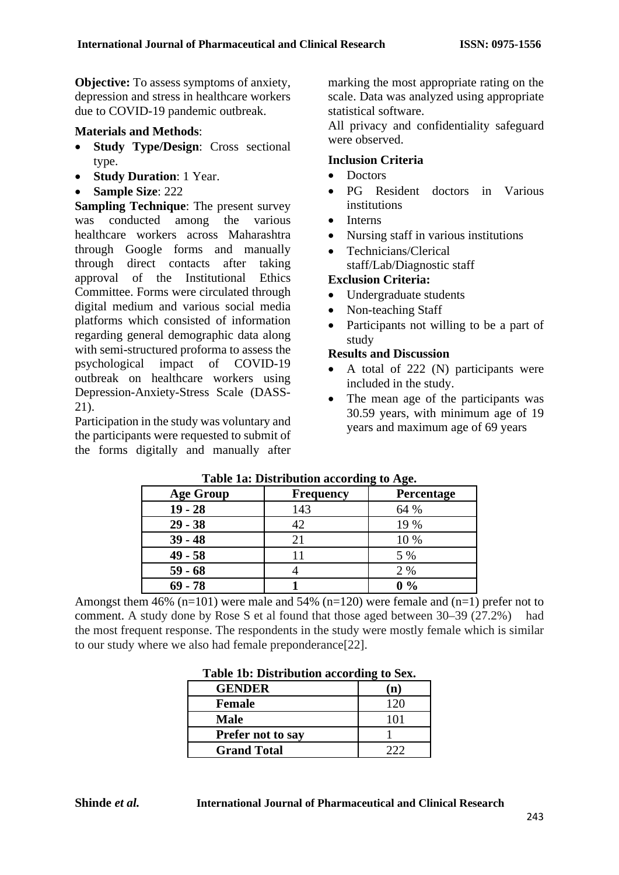**Objective:** To assess symptoms of anxiety, depression and stress in healthcare workers due to COVID-19 pandemic outbreak.

#### **Materials and Methods**:

- **Study Type/Design**: Cross sectional type.
- **Study Duration**: 1 Year.
- **Sample Size**: 222

**Sampling Technique**: The present survey was conducted among the various healthcare workers across Maharashtra through Google forms and manually through direct contacts after taking approval of the Institutional Ethics Committee. Forms were circulated through digital medium and various social media platforms which consisted of information regarding general demographic data along with semi-structured proforma to assess the psychological impact of COVID-19 outbreak on healthcare workers using Depression-Anxiety-Stress Scale (DASS-21).

Participation in the study was voluntary and the participants were requested to submit of the forms digitally and manually after marking the most appropriate rating on the scale. Data was analyzed using appropriate statistical software.

All privacy and confidentiality safeguard were observed.

#### **Inclusion Criteria**

- Doctors
- PG Resident doctors in Various institutions
- **Interns**
- Nursing staff in various institutions
- Technicians/Clerical staff/Lab/Diagnostic staff

## **Exclusion Criteria:**

- Undergraduate students
- Non-teaching Staff
- Participants not willing to be a part of study

#### **Results and Discussion**

- A total of 222 (N) participants were included in the study.
- The mean age of the participants was 30.59 years, with minimum age of 19 years and maximum age of 69 years

| Table Tal Distribution according to right |                  |            |  |  |
|-------------------------------------------|------------------|------------|--|--|
| <b>Age Group</b>                          | <b>Frequency</b> | Percentage |  |  |
| $19 - 28$                                 | 143              | 64 %       |  |  |
| $29 - 38$                                 | 42               | 19 %       |  |  |
| $39 - 48$                                 | 21               | 10 %       |  |  |
| $49 - 58$                                 |                  | 5 %        |  |  |
| $59 - 68$                                 |                  | 2 %        |  |  |
| $69 - 78$                                 |                  | $0\%$      |  |  |

#### **Table 1a: Distribution according to Age.**

Amongst them 46% ( $n=101$ ) were male and 54% ( $n=120$ ) were female and ( $n=1$ ) prefer not to comment. A study done by Rose S et al found that those aged between 30–39 (27.2%) had the most frequent response. The respondents in the study were mostly female which is similar to our study where we also had female preponderance[22].

| 1 wole 1900 <i>D</i> Iberto welch weedi with |     |  |  |  |
|----------------------------------------------|-----|--|--|--|
| <b>GENDER</b>                                | n   |  |  |  |
| <b>Female</b>                                | 120 |  |  |  |
| <b>Male</b>                                  | 101 |  |  |  |
| <b>Prefer not to say</b>                     |     |  |  |  |
| <b>Grand Total</b>                           |     |  |  |  |

#### **Table 1b: Distribution according to Sex.**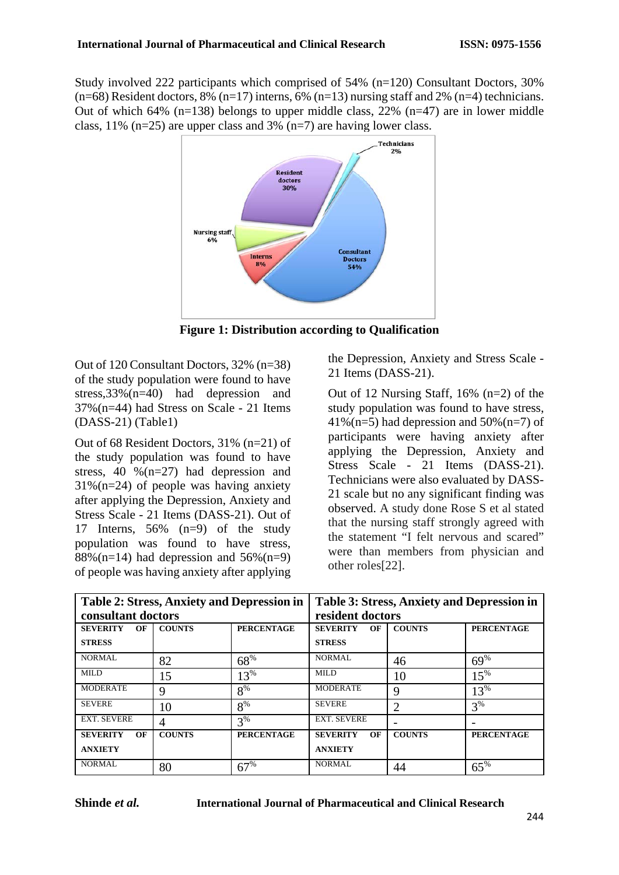Study involved 222 participants which comprised of 54% (n=120) Consultant Doctors, 30%  $(n=68)$  Resident doctors, 8%  $(n=17)$  interns, 6%  $(n=13)$  nursing staff and 2%  $(n=4)$  technicians. Out of which 64% (n=138) belongs to upper middle class, 22% (n=47) are in lower middle class,  $11\%$  (n=25) are upper class and 3% (n=7) are having lower class.



**Figure 1: Distribution according to Qualification**

Out of 120 Consultant Doctors, 32% (n=38) of the study population were found to have stress,33%(n=40) had depression and 37%(n=44) had Stress on Scale - 21 Items (DASS-21) (Table1)

Out of 68 Resident Doctors, 31% (n=21) of the study population was found to have stress, 40 %(n=27) had depression and  $31\%$ (n=24) of people was having anxiety after applying the Depression, Anxiety and Stress Scale - 21 Items (DASS-21). Out of 17 Interns, 56% (n=9) of the study population was found to have stress, 88%(n=14) had depression and  $56\frac{1}{9}$ (n=9) of people was having anxiety after applying the Depression, Anxiety and Stress Scale - 21 Items (DASS-21).

Out of 12 Nursing Staff, 16% (n=2) of the study population was found to have stress,  $41\%$ (n=5) had depression and  $50\%$ (n=7) of participants were having anxiety after applying the Depression, Anxiety and Stress Scale - 21 Items (DASS-21). Technicians were also evaluated by DASS-21 scale but no any significant finding was observed. A study done Rose S et al stated that the nursing staff strongly agreed with the statement "I felt nervous and scared" were than members from physician and other roles[22].

| <b>Table 2: Stress, Anxiety and Depression in</b> |               |                   | <b>Table 3: Stress, Anxiety and Depression in</b> |               |                   |  |
|---------------------------------------------------|---------------|-------------------|---------------------------------------------------|---------------|-------------------|--|
| consultant doctors                                |               |                   | resident doctors                                  |               |                   |  |
| <b>SEVERITY</b><br>OF                             | <b>COUNTS</b> | <b>PERCENTAGE</b> | <b>SEVERITY</b><br>OF                             | <b>COUNTS</b> | <b>PERCENTAGE</b> |  |
| <b>STRESS</b>                                     |               |                   | <b>STRESS</b>                                     |               |                   |  |
| <b>NORMAL</b>                                     | 82            | 68%               | NORMAL                                            | 46            | 69%               |  |
| <b>MILD</b>                                       | 15            | $13\%$            | MILD                                              | 10            | $15\%$            |  |
| <b>MODERATE</b>                                   | Q             | $8\%$             | <b>MODERATE</b>                                   | 9             | $13\%$            |  |
| <b>SEVERE</b>                                     | 10            | $8\%$             | <b>SEVERE</b>                                     | 2             | $3\%$             |  |
| <b>EXT. SEVERE</b>                                |               | 3%                | <b>EXT. SEVERE</b>                                |               |                   |  |
| <b>SEVERITY</b><br>OF                             | <b>COUNTS</b> | <b>PERCENTAGE</b> | <b>SEVERITY</b><br>OF                             | <b>COUNTS</b> | <b>PERCENTAGE</b> |  |
| <b>ANXIETY</b>                                    |               |                   | <b>ANXIETY</b>                                    |               |                   |  |
| NORMAL                                            | 80            | 67%               | <b>NORMAL</b>                                     | 44            | $65\%$            |  |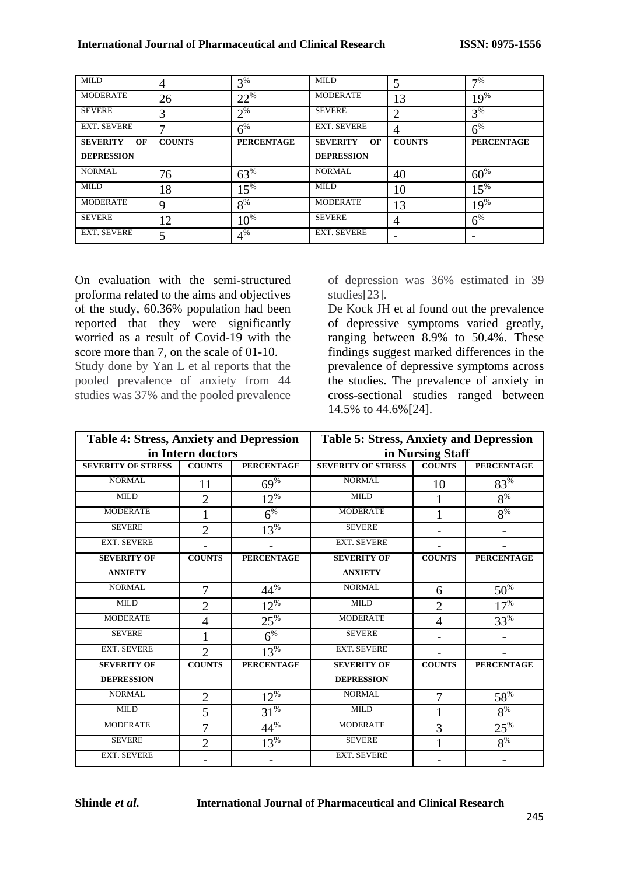| <b>MILD</b>           | 4             | $3%$              | <b>MILD</b>           |               | 7%                |
|-----------------------|---------------|-------------------|-----------------------|---------------|-------------------|
| <b>MODERATE</b>       | 26            | $22^{\%}$         | <b>MODERATE</b>       | 13            | $19\%$            |
| <b>SEVERE</b>         | 3             | $2^{\%}$          | <b>SEVERE</b>         | 2             | $3\%$             |
| <b>EXT. SEVERE</b>    |               | $6\%$             | <b>EXT. SEVERE</b>    | 4             | $6\%$             |
| <b>SEVERITY</b><br>OF | <b>COUNTS</b> | <b>PERCENTAGE</b> | <b>SEVERITY</b><br>OF | <b>COUNTS</b> | <b>PERCENTAGE</b> |
| <b>DEPRESSION</b>     |               |                   | <b>DEPRESSION</b>     |               |                   |
| <b>NORMAL</b>         | 76            | $63\%$            | <b>NORMAL</b>         | 40            | $60\%$            |
| <b>MILD</b>           | 18            | $15\%$            | <b>MILD</b>           | 10            | $15\%$            |
| <b>MODERATE</b>       | 9             | $8\%$             | <b>MODERATE</b>       | 13            | $19\%$            |
| <b>SEVERE</b>         | 12            | $10^{%}$          | <b>SEVERE</b>         | 4             | $6\%$             |
| <b>EXT. SEVERE</b>    |               | $4\%$             | <b>EXT. SEVERE</b>    |               |                   |

On evaluation with the semi-structured proforma related to the aims and objectives of the study, 60.36% population had been reported that they were significantly worried as a result of Covid-19 with the score more than 7, on the scale of 01-10. Study done by Yan L et al reports that the pooled prevalence of anxiety from 44 studies was 37% and the pooled prevalence of depression was 36% estimated in 39 studies[23].

De Kock JH et al found out the prevalence of depressive symptoms varied greatly, ranging between 8.9% to 50.4%. These findings suggest marked differences in the prevalence of depressive symptoms across the studies. The prevalence of anxiety in cross-sectional studies ranged between 14.5% to 44.6%[24].

| <b>Table 4: Stress, Anxiety and Depression</b> |                | <b>Table 5: Stress, Anxiety and Depression</b> |                           |                |                   |  |
|------------------------------------------------|----------------|------------------------------------------------|---------------------------|----------------|-------------------|--|
| in Intern doctors                              |                |                                                | in Nursing Staff          |                |                   |  |
| <b>SEVERITY OF STRESS</b>                      | <b>COUNTS</b>  | <b>PERCENTAGE</b>                              | <b>SEVERITY OF STRESS</b> | <b>COUNTS</b>  | <b>PERCENTAGE</b> |  |
| <b>NORMAL</b>                                  | 11             | 69%                                            | <b>NORMAL</b>             | 10             | $83\%$            |  |
| <b>MILD</b>                                    | $\overline{2}$ | $12\%$                                         | <b>MILD</b>               | 1              | $8\%$             |  |
| <b>MODERATE</b>                                | $\mathbf{1}$   | $6^{%}$                                        | <b>MODERATE</b>           | 1              | $8\%$             |  |
| <b>SEVERE</b>                                  | $\overline{2}$ | $13%$                                          | <b>SEVERE</b>             |                |                   |  |
| <b>EXT. SEVERE</b>                             |                |                                                | <b>EXT. SEVERE</b>        |                |                   |  |
| <b>SEVERITY OF</b>                             | <b>COUNTS</b>  | <b>PERCENTAGE</b>                              | <b>SEVERITY OF</b>        | <b>COUNTS</b>  | <b>PERCENTAGE</b> |  |
| <b>ANXIETY</b>                                 |                |                                                | <b>ANXIETY</b>            |                |                   |  |
| NORMAL                                         | 7              | $44^{\frac{1}{6}}$                             | <b>NORMAL</b>             | 6              | $50\%$            |  |
| <b>MILD</b>                                    | $\overline{2}$ | $12^{\%}$                                      | <b>MILD</b>               | $\overline{2}$ | $17%$             |  |
| <b>MODERATE</b>                                | $\overline{4}$ | $25\%$                                         | <b>MODERATE</b>           | $\overline{4}$ | 33%               |  |
| <b>SEVERE</b>                                  | 1              | $6^{%}$                                        | <b>SEVERE</b>             |                |                   |  |
| <b>EXT. SEVERE</b>                             | $\overline{2}$ | $13%$                                          | <b>EXT. SEVERE</b>        |                |                   |  |
| <b>SEVERITY OF</b>                             | <b>COUNTS</b>  | <b>PERCENTAGE</b>                              | <b>SEVERITY OF</b>        | <b>COUNTS</b>  | <b>PERCENTAGE</b> |  |
| <b>DEPRESSION</b>                              |                |                                                | <b>DEPRESSION</b>         |                |                   |  |
| <b>NORMAL</b>                                  | $\overline{2}$ | $12\%$                                         | <b>NORMAL</b>             | 7              | $58\%$            |  |
| <b>MILD</b>                                    | 5              | $31\%$                                         | <b>MILD</b>               | $\mathbf{1}$   | $8\%$             |  |
| <b>MODERATE</b>                                | 7              | 44%                                            | <b>MODERATE</b>           | 3              | $25\%$            |  |
| <b>SEVERE</b>                                  | $\overline{2}$ | $13%$                                          | <b>SEVERE</b>             |                | $8\%$             |  |
| <b>EXT. SEVERE</b>                             |                |                                                | <b>EXT. SEVERE</b>        |                |                   |  |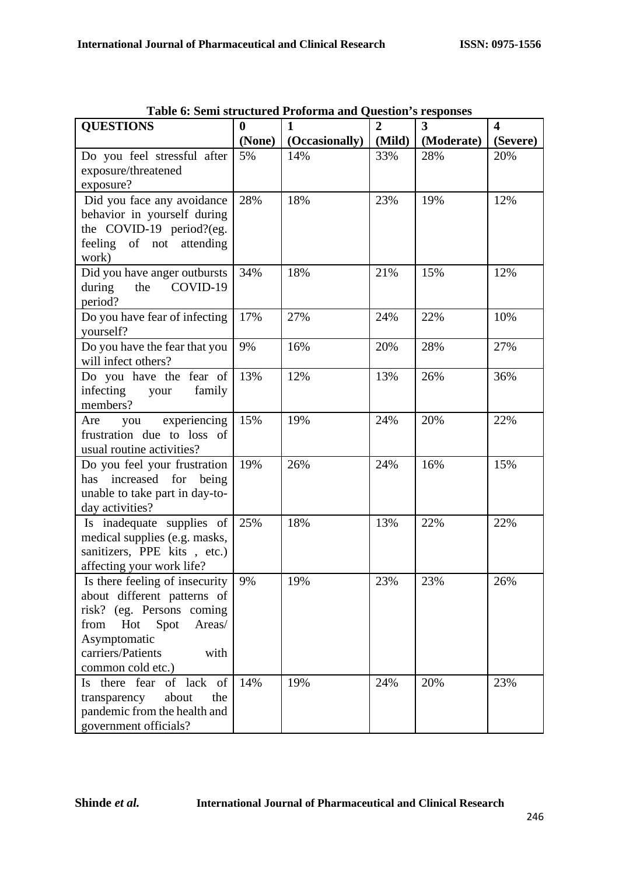| <b>QUESTIONS</b>                          | $\bf{0}$<br>(None) | $\mathbf{1}$          | $\overline{2}$<br>(Mild) | $\overline{\mathbf{3}}$<br>(Moderate) | $\overline{\mathbf{4}}$<br>(Severe) |
|-------------------------------------------|--------------------|-----------------------|--------------------------|---------------------------------------|-------------------------------------|
| Do you feel stressful after               | 5%                 | (Occasionally)<br>14% | 33%                      | 28%                                   | 20%                                 |
| exposure/threatened                       |                    |                       |                          |                                       |                                     |
| exposure?                                 |                    |                       |                          |                                       |                                     |
| Did you face any avoidance                | 28%                | 18%                   | 23%                      | 19%                                   | 12%                                 |
| behavior in yourself during               |                    |                       |                          |                                       |                                     |
| the COVID-19 period?(eg.                  |                    |                       |                          |                                       |                                     |
| feeling of not<br>attending               |                    |                       |                          |                                       |                                     |
| work)                                     |                    |                       |                          |                                       |                                     |
| Did you have anger outbursts              | 34%                | 18%                   | 21%                      | 15%                                   | 12%                                 |
| the<br>COVID-19<br>during                 |                    |                       |                          |                                       |                                     |
| period?                                   |                    |                       |                          |                                       |                                     |
| Do you have fear of infecting             | 17%                | 27%                   | 24%                      | 22%                                   | 10%                                 |
| yourself?                                 |                    |                       |                          |                                       |                                     |
| Do you have the fear that you             | 9%                 | 16%                   | 20%                      | 28%                                   | 27%                                 |
| will infect others?                       |                    |                       |                          |                                       |                                     |
| Do you have the fear of                   | 13%                | 12%                   | 13%                      | 26%                                   | 36%                                 |
| infecting<br>family<br>your<br>members?   |                    |                       |                          |                                       |                                     |
| experiencing<br>Are                       | 15%                | 19%                   | 24%                      | 20%                                   | 22%                                 |
| you<br>frustration due to loss of         |                    |                       |                          |                                       |                                     |
| usual routine activities?                 |                    |                       |                          |                                       |                                     |
| Do you feel your frustration              | 19%                | 26%                   | 24%                      | 16%                                   | 15%                                 |
| increased for<br>being<br>has             |                    |                       |                          |                                       |                                     |
| unable to take part in day-to-            |                    |                       |                          |                                       |                                     |
| day activities?                           |                    |                       |                          |                                       |                                     |
| Is inadequate supplies of                 | 25%                | 18%                   | 13%                      | 22%                                   | 22%                                 |
| medical supplies (e.g. masks,             |                    |                       |                          |                                       |                                     |
| sanitizers, PPE kits, etc.)               |                    |                       |                          |                                       |                                     |
| affecting your work life?                 |                    |                       |                          |                                       |                                     |
| Is there feeling of insecurity            | 9%                 | 19%                   | 23%                      | 23%                                   | 26%                                 |
| about different patterns of               |                    |                       |                          |                                       |                                     |
| risk? (eg. Persons coming                 |                    |                       |                          |                                       |                                     |
| Spot<br>Areas/<br>from<br>Hot             |                    |                       |                          |                                       |                                     |
| Asymptomatic<br>carriers/Patients<br>with |                    |                       |                          |                                       |                                     |
| common cold etc.)                         |                    |                       |                          |                                       |                                     |
| Is there fear of lack of                  | 14%                | 19%                   | 24%                      | 20%                                   | 23%                                 |
| transparency<br>about<br>the              |                    |                       |                          |                                       |                                     |
| pandemic from the health and              |                    |                       |                          |                                       |                                     |
| government officials?                     |                    |                       |                          |                                       |                                     |

| Table 6: Semi structured Proforma and Question's responses |  |
|------------------------------------------------------------|--|
|------------------------------------------------------------|--|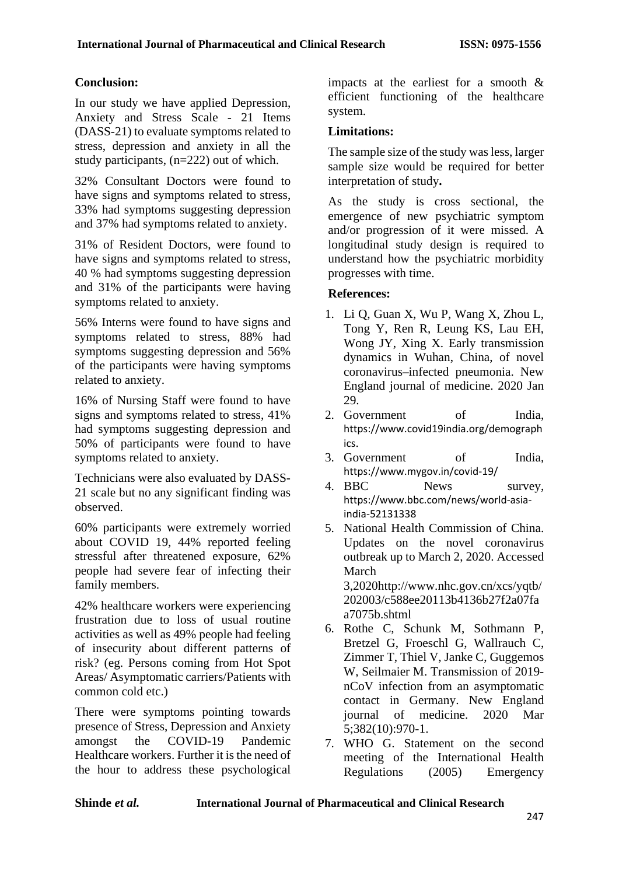#### **Conclusion:**

In our study we have applied Depression, Anxiety and Stress Scale - 21 Items (DASS-21) to evaluate symptoms related to stress, depression and anxiety in all the study participants, (n=222) out of which.

32% Consultant Doctors were found to have signs and symptoms related to stress, 33% had symptoms suggesting depression and 37% had symptoms related to anxiety.

31% of Resident Doctors, were found to have signs and symptoms related to stress, 40 % had symptoms suggesting depression and 31% of the participants were having symptoms related to anxiety.

56% Interns were found to have signs and symptoms related to stress, 88% had symptoms suggesting depression and 56% of the participants were having symptoms related to anxiety.

16% of Nursing Staff were found to have signs and symptoms related to stress, 41% had symptoms suggesting depression and 50% of participants were found to have symptoms related to anxiety.

Technicians were also evaluated by DASS-21 scale but no any significant finding was observed.

60% participants were extremely worried about COVID 19, 44% reported feeling stressful after threatened exposure, 62% people had severe fear of infecting their family members.

42% healthcare workers were experiencing frustration due to loss of usual routine activities as well as 49% people had feeling of insecurity about different patterns of risk? (eg. Persons coming from Hot Spot Areas/ Asymptomatic carriers/Patients with common cold etc.)

There were symptoms pointing towards presence of Stress, Depression and Anxiety amongst the COVID-19 Pandemic Healthcare workers. Further it is the need of the hour to address these psychological impacts at the earliest for a smooth & efficient functioning of the healthcare system.

### **Limitations:**

The sample size of the study was less, larger sample size would be required for better interpretation of study**.**

As the study is cross sectional, the emergence of new psychiatric symptom and/or progression of it were missed. A longitudinal study design is required to understand how the psychiatric morbidity progresses with time.

#### **References:**

- 1. Li Q, Guan X, Wu P, Wang X, Zhou L, Tong Y, Ren R, Leung KS, Lau EH, Wong JY, Xing X. Early transmission dynamics in Wuhan, China, of novel coronavirus–infected pneumonia. New England journal of medicine. 2020 Jan 29.
- 2. Government of India, [https://www.covid19india.org/demograph](https://www.covid19india.org/demographics) [ics](https://www.covid19india.org/demographics).
- 3. Government of India, <https://www.mygov.in/covid-19/>
- 4. BBC News survey, [https://www.bbc.com/news/world-asia](https://www.bbc.com/news/world-asia-india-52131338)[india-52131338](https://www.bbc.com/news/world-asia-india-52131338)
- 5. National Health Commission of China. Updates on the novel coronavirus outbreak up to March 2, 2020. Accessed March 3,2020http://www.nhc.gov.cn/xcs/yqtb/ 202003/c588ee20113b4136b27f2a07fa a7075b.shtml
- 6. Rothe C, Schunk M, Sothmann P, Bretzel G, Froeschl G, Wallrauch C, Zimmer T, Thiel V, Janke C, Guggemos W, Seilmaier M. Transmission of 2019 nCoV infection from an asymptomatic contact in Germany. New England journal of medicine. 2020 Mar 5;382(10):970-1.
- 7. WHO G. Statement on the second meeting of the International Health Regulations (2005) Emergency